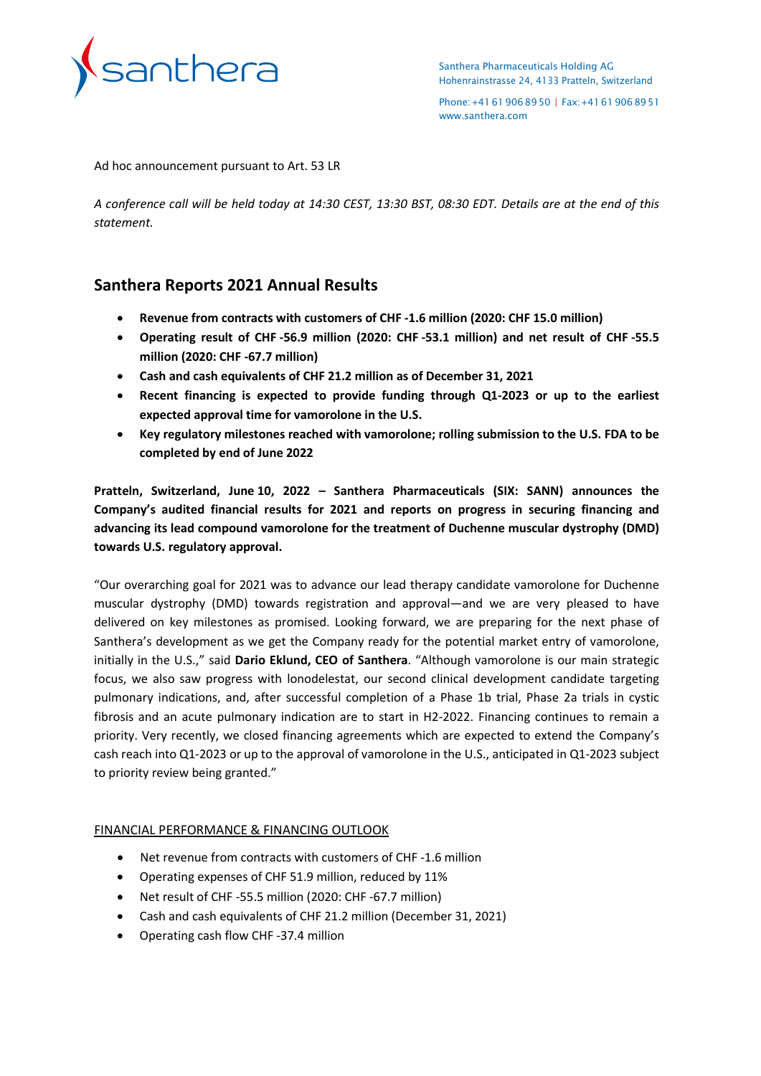

Santhera Pharmaceuticals Holding AG Hohenrainstrasse 24, 4133 Pratteln, Switzerland

Phone:+41619068950 | Fax:+41619068951 [www.santhera.com](http://www.santhera.com/)

Ad hoc announcement pursuant to Art. 53 LR

*A conference call will be held today at 14:30 CEST, 13:30 BST, 08:30 EDT. Details are at the end of this statement.*

# **Santhera Reports 2021 Annual Results**

- **Revenue from contracts with customers of CHF -1.6 million (2020: CHF 15.0 million)**
- **Operating result of CHF -56.9 million (2020: CHF -53.1 million) and net result of CHF -55.5 million (2020: CHF -67.7 million)**
- **Cash and cash equivalents of CHF 21.2 million as of December 31, 2021**
- **Recent financing is expected to provide funding through Q1-2023 or up to the earliest expected approval time for vamorolone in the U.S.**
- **Key regulatory milestones reached with vamorolone; rolling submission to the U.S. FDA to be completed by end of June 2022**

**Pratteln, Switzerland, June 10, 2022 – Santhera Pharmaceuticals (SIX: SANN) announces the Company's audited financial results for 2021 and reports on progress in securing financing and advancing its lead compound vamorolone for the treatment of Duchenne muscular dystrophy (DMD) towards U.S. regulatory approval.**

"Our overarching goal for 2021 was to advance our lead therapy candidate vamorolone for Duchenne muscular dystrophy (DMD) towards registration and approval—and we are very pleased to have delivered on key milestones as promised. Looking forward, we are preparing for the next phase of Santhera's development as we get the Company ready for the potential market entry of vamorolone, initially in the U.S.," said **Dario Eklund, CEO of Santhera**. "Although vamorolone is our main strategic focus, we also saw progress with lonodelestat, our second clinical development candidate targeting pulmonary indications, and, after successful completion of a Phase 1b trial, Phase 2a trials in cystic fibrosis and an acute pulmonary indication are to start in H2-2022. Financing continues to remain a priority. Very recently, we closed financing agreements which are expected to extend the Company's cash reach into Q1-2023 or up to the approval of vamorolone in the U.S., anticipated in Q1-2023 subject to priority review being granted."

# FINANCIAL PERFORMANCE & FINANCING OUTLOOK

- Net revenue from contracts with customers of CHF -1.6 million
- Operating expenses of CHF 51.9 million, reduced by 11%
- Net result of CHF -55.5 million (2020: CHF -67.7 million)
- Cash and cash equivalents of CHF 21.2 million (December 31, 2021)
- Operating cash flow CHF -37.4 million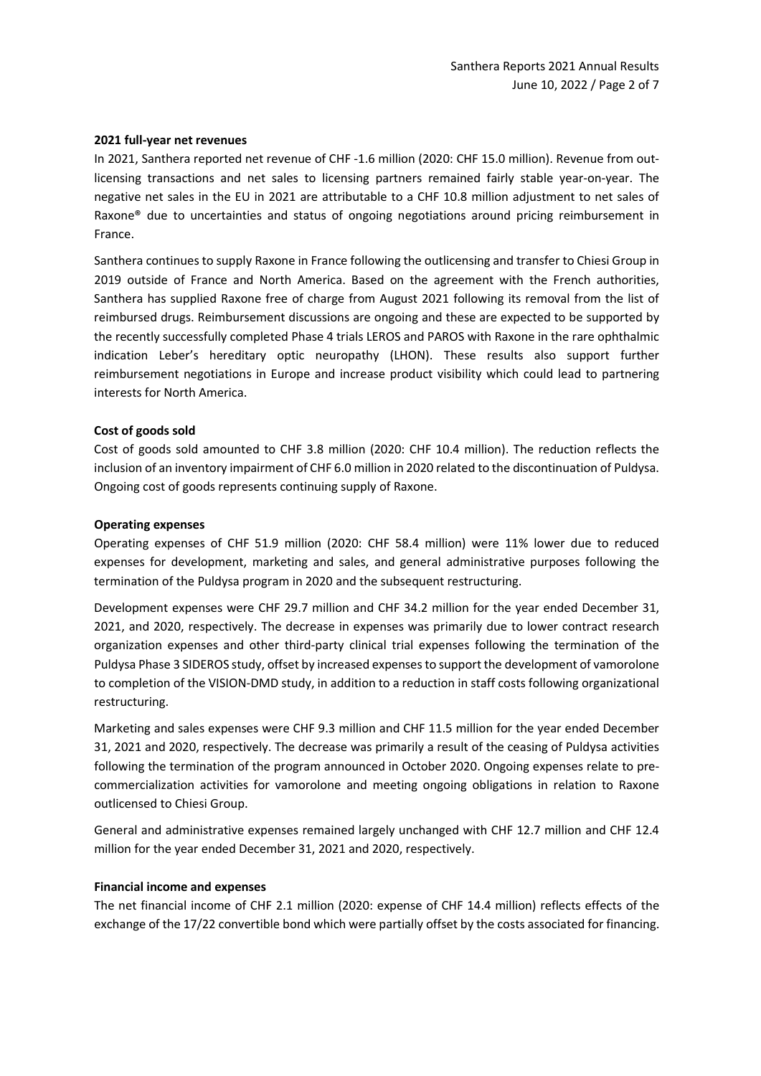#### **2021 full-year net revenues**

In 2021, Santhera reported net revenue of CHF -1.6 million (2020: CHF 15.0 million). Revenue from outlicensing transactions and net sales to licensing partners remained fairly stable year-on-year. The negative net sales in the EU in 2021 are attributable to a CHF 10.8 million adjustment to net sales of Raxone® due to uncertainties and status of ongoing negotiations around pricing reimbursement in France.

Santhera continues to supply Raxone in France following the outlicensing and transfer to Chiesi Group in 2019 outside of France and North America. Based on the agreement with the French authorities, Santhera has supplied Raxone free of charge from August 2021 following its removal from the list of reimbursed drugs. Reimbursement discussions are ongoing and these are expected to be supported by the recently successfully completed Phase 4 trials LEROS and PAROS with Raxone in the rare ophthalmic indication Leber's hereditary optic neuropathy (LHON). These results also support further reimbursement negotiations in Europe and increase product visibility which could lead to partnering interests for North America.

## **Cost of goods sold**

Cost of goods sold amounted to CHF 3.8 million (2020: CHF 10.4 million). The reduction reflects the inclusion of an inventory impairment of CHF 6.0 million in 2020 related to the discontinuation of Puldysa. Ongoing cost of goods represents continuing supply of Raxone.

## **Operating expenses**

Operating expenses of CHF 51.9 million (2020: CHF 58.4 million) were 11% lower due to reduced expenses for development, marketing and sales, and general administrative purposes following the termination of the Puldysa program in 2020 and the subsequent restructuring.

Development expenses were CHF 29.7 million and CHF 34.2 million for the year ended December 31, 2021, and 2020, respectively. The decrease in expenses was primarily due to lower contract research organization expenses and other third-party clinical trial expenses following the termination of the Puldysa Phase 3 SIDEROS study, offset by increased expenses to support the development of vamorolone to completion of the VISION-DMD study, in addition to a reduction in staff costs following organizational restructuring.

Marketing and sales expenses were CHF 9.3 million and CHF 11.5 million for the year ended December 31, 2021 and 2020, respectively. The decrease was primarily a result of the ceasing of Puldysa activities following the termination of the program announced in October 2020. Ongoing expenses relate to precommercialization activities for vamorolone and meeting ongoing obligations in relation to Raxone outlicensed to Chiesi Group.

General and administrative expenses remained largely unchanged with CHF 12.7 million and CHF 12.4 million for the year ended December 31, 2021 and 2020, respectively.

#### **Financial income and expenses**

The net financial income of CHF 2.1 million (2020: expense of CHF 14.4 million) reflects effects of the exchange of the 17/22 convertible bond which were partially offset by the costs associated for financing.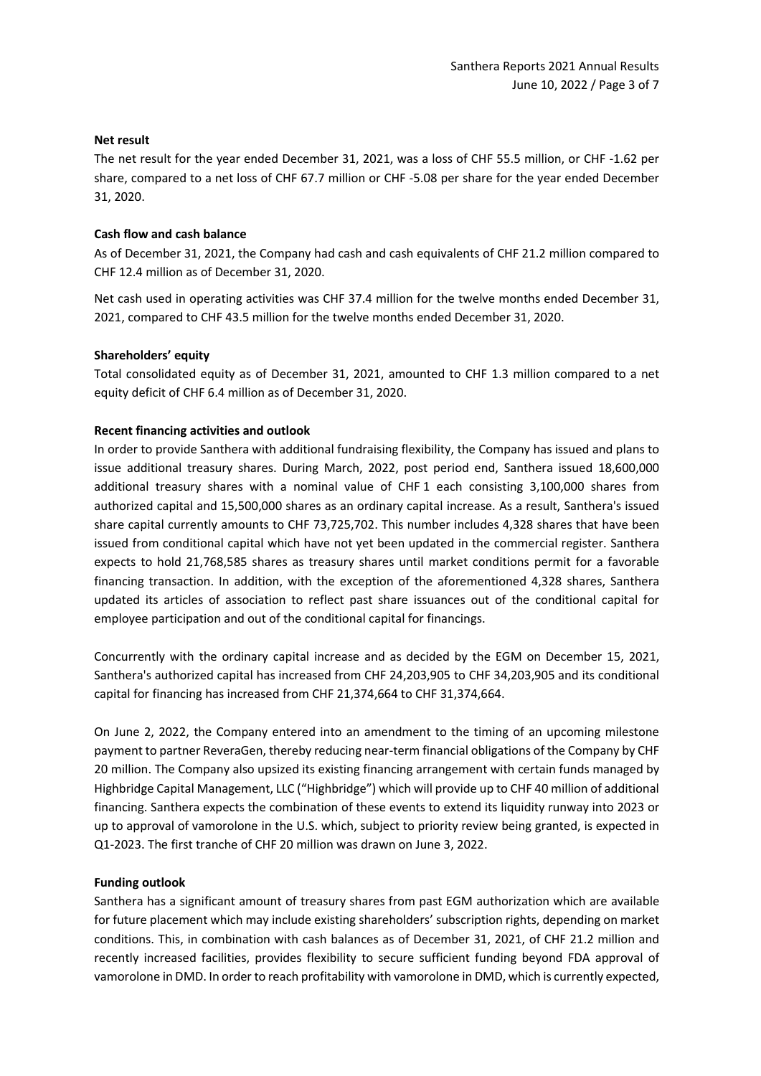### **Net result**

The net result for the year ended December 31, 2021, was a loss of CHF 55.5 million, or CHF -1.62 per share, compared to a net loss of CHF 67.7 million or CHF -5.08 per share for the year ended December 31, 2020.

## **Cash flow and cash balance**

As of December 31, 2021, the Company had cash and cash equivalents of CHF 21.2 million compared to CHF 12.4 million as of December 31, 2020.

Net cash used in operating activities was CHF 37.4 million for the twelve months ended December 31, 2021, compared to CHF 43.5 million for the twelve months ended December 31, 2020.

## **Shareholders' equity**

Total consolidated equity as of December 31, 2021, amounted to CHF 1.3 million compared to a net equity deficit of CHF 6.4 million as of December 31, 2020.

## **Recent financing activities and outlook**

In order to provide Santhera with additional fundraising flexibility, the Company has issued and plans to issue additional treasury shares. During March, 2022, post period end, Santhera issued 18,600,000 additional treasury shares with a nominal value of CHF 1 each consisting 3,100,000 shares from authorized capital and 15,500,000 shares as an ordinary capital increase. As a result, Santhera's issued share capital currently amounts to CHF 73,725,702. This number includes 4,328 shares that have been issued from conditional capital which have not yet been updated in the commercial register. Santhera expects to hold 21,768,585 shares as treasury shares until market conditions permit for a favorable financing transaction. In addition, with the exception of the aforementioned 4,328 shares, Santhera updated its articles of association to reflect past share issuances out of the conditional capital for employee participation and out of the conditional capital for financings.

Concurrently with the ordinary capital increase and as decided by the EGM on December 15, 2021, Santhera's authorized capital has increased from CHF 24,203,905 to CHF 34,203,905 and its conditional capital for financing has increased from CHF 21,374,664 to CHF 31,374,664.

On June 2, 2022, the Company entered into an amendment to the timing of an upcoming milestone payment to partner ReveraGen, thereby reducing near-term financial obligations of the Company by CHF 20 million. The Company also upsized its existing financing arrangement with certain funds managed by Highbridge Capital Management, LLC ("Highbridge") which will provide up to CHF 40 million of additional financing. Santhera expects the combination of these events to extend its liquidity runway into 2023 or up to approval of vamorolone in the U.S. which, subject to priority review being granted, is expected in Q1-2023. The first tranche of CHF 20 million was drawn on June 3, 2022.

#### **Funding outlook**

Santhera has a significant amount of treasury shares from past EGM authorization which are available for future placement which may include existing shareholders' subscription rights, depending on market conditions. This, in combination with cash balances as of December 31, 2021, of CHF 21.2 million and recently increased facilities, provides flexibility to secure sufficient funding beyond FDA approval of vamorolone in DMD. In order to reach profitability with vamorolone in DMD, which is currently expected,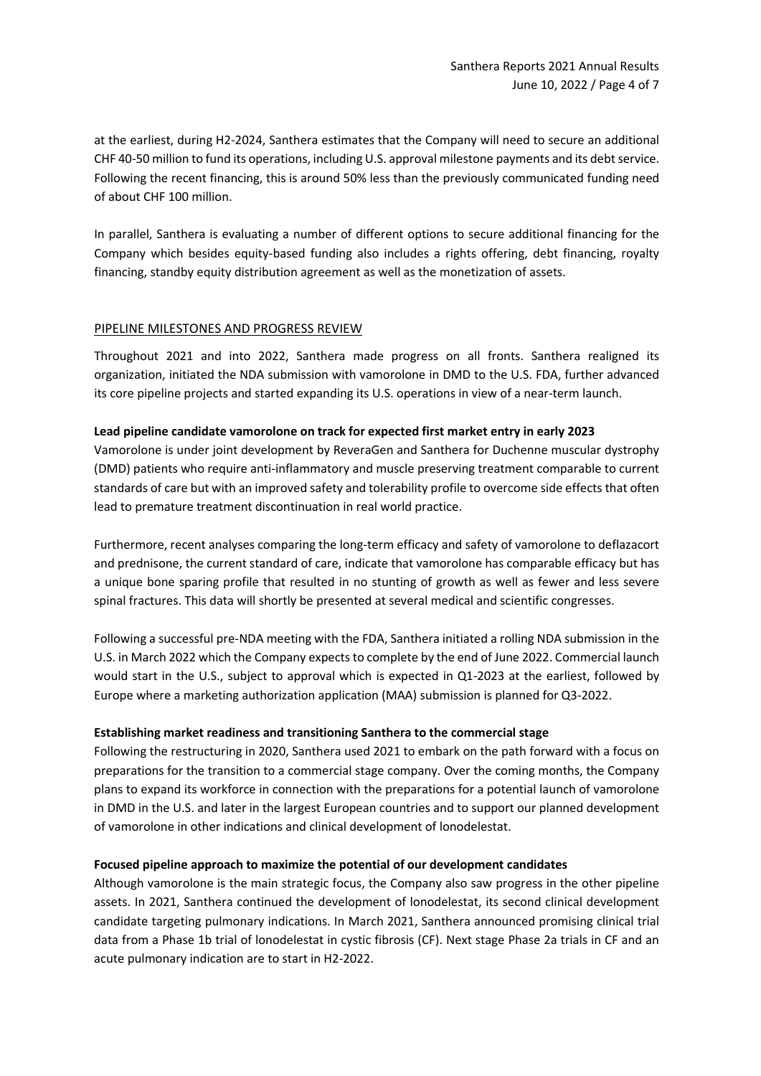at the earliest, during H2-2024, Santhera estimates that the Company will need to secure an additional CHF 40-50 million to fund its operations, including U.S. approval milestone payments and its debt service. Following the recent financing, this is around 50% less than the previously communicated funding need of about CHF 100 million.

In parallel, Santhera is evaluating a number of different options to secure additional financing for the Company which besides equity-based funding also includes a rights offering, debt financing, royalty financing, standby equity distribution agreement as well as the monetization of assets.

## PIPELINE MILESTONES AND PROGRESS REVIEW

Throughout 2021 and into 2022, Santhera made progress on all fronts. Santhera realigned its organization, initiated the NDA submission with vamorolone in DMD to the U.S. FDA, further advanced its core pipeline projects and started expanding its U.S. operations in view of a near-term launch.

#### **Lead pipeline candidate vamorolone on track for expected first market entry in early 2023**

Vamorolone is under joint development by ReveraGen and Santhera for Duchenne muscular dystrophy (DMD) patients who require anti-inflammatory and muscle preserving treatment comparable to current standards of care but with an improved safety and tolerability profile to overcome side effects that often lead to premature treatment discontinuation in real world practice.

Furthermore, recent analyses comparing the long-term efficacy and safety of vamorolone to deflazacort and prednisone, the current standard of care, indicate that vamorolone has comparable efficacy but has a unique bone sparing profile that resulted in no stunting of growth as well as fewer and less severe spinal fractures. This data will shortly be presented at several medical and scientific congresses.

Following a successful pre-NDA meeting with the FDA, Santhera initiated a rolling NDA submission in the U.S. in March 2022 which the Company expects to complete by the end of June 2022. Commercial launch would start in the U.S., subject to approval which is expected in Q1-2023 at the earliest, followed by Europe where a marketing authorization application (MAA) submission is planned for Q3-2022.

### **Establishing market readiness and transitioning Santhera to the commercial stage**

Following the restructuring in 2020, Santhera used 2021 to embark on the path forward with a focus on preparations for the transition to a commercial stage company. Over the coming months, the Company plans to expand its workforce in connection with the preparations for a potential launch of vamorolone in DMD in the U.S. and later in the largest European countries and to support our planned development of vamorolone in other indications and clinical development of lonodelestat.

#### **Focused pipeline approach to maximize the potential of our development candidates**

Although vamorolone is the main strategic focus, the Company also saw progress in the other pipeline assets. In 2021, Santhera continued the development of lonodelestat, its second clinical development candidate targeting pulmonary indications. In March 2021, Santhera announced promising clinical trial data from a Phase 1b trial of lonodelestat in cystic fibrosis (CF). Next stage Phase 2a trials in CF and an acute pulmonary indication are to start in H2-2022.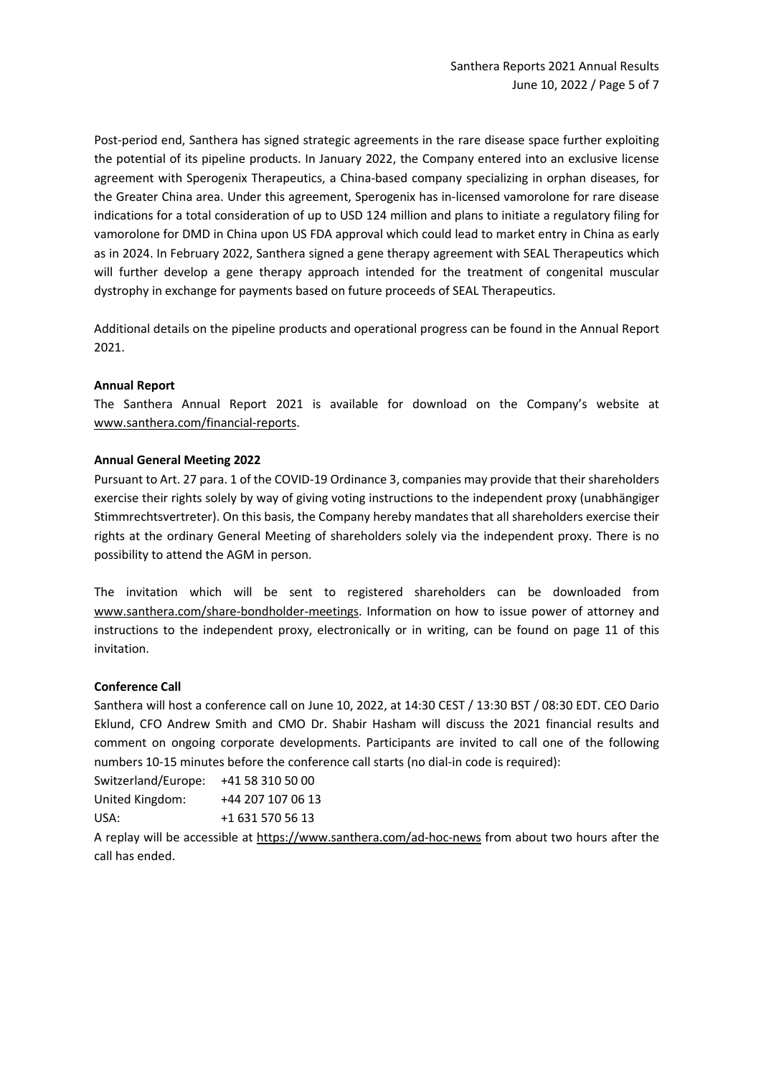Post-period end, Santhera has signed strategic agreements in the rare disease space further exploiting the potential of its pipeline products. In January 2022, the Company entered into an exclusive license agreement with Sperogenix Therapeutics, a China-based company specializing in orphan diseases, for the Greater China area. Under this agreement, Sperogenix has in-licensed vamorolone for rare disease indications for a total consideration of up to USD 124 million and plans to initiate a regulatory filing for vamorolone for DMD in China upon US FDA approval which could lead to market entry in China as early as in 2024. In February 2022, Santhera signed a gene therapy agreement with SEAL Therapeutics which will further develop a gene therapy approach intended for the treatment of congenital muscular dystrophy in exchange for payments based on future proceeds of SEAL Therapeutics.

Additional details on the pipeline products and operational progress can be found in the Annual Report 2021.

## **Annual Report**

The Santhera Annual Report 2021 is available for download on the Company's website at [www.santhera.com/financial-reports.](http://www.santhera.com/financial-reports)

## **Annual General Meeting 2022**

Pursuant to Art. 27 para. 1 of the COVID-19 Ordinance 3, companies may provide that their shareholders exercise their rights solely by way of giving voting instructions to the independent proxy (unabhängiger Stimmrechtsvertreter). On this basis, the Company hereby mandates that all shareholders exercise their rights at the ordinary General Meeting of shareholders solely via the independent proxy. There is no possibility to attend the AGM in person.

The invitation which will be sent to registered shareholders can be downloaded from [www.santhera.com/share-bondholder-meetings.](http://www.santhera.com/share-bondholder-meetings) Information on how to issue power of attorney and instructions to the independent proxy, electronically or in writing, can be found on page 11 of this invitation.

#### **Conference Call**

Santhera will host a conference call on June 10, 2022, at 14:30 CEST / 13:30 BST / 08:30 EDT. CEO Dario Eklund, CFO Andrew Smith and CMO Dr. Shabir Hasham will discuss the 2021 financial results and comment on ongoing corporate developments. Participants are invited to call one of the following numbers 10-15 minutes before the conference call starts (no dial-in code is required):

Switzerland/Europe: +41 58 310 50 00

United Kingdom: +44 207 107 06 13 USA: +1 631 570 56 13

A replay will be accessible at<https://www.santhera.com/ad-hoc-news> from about two hours after the call has ended.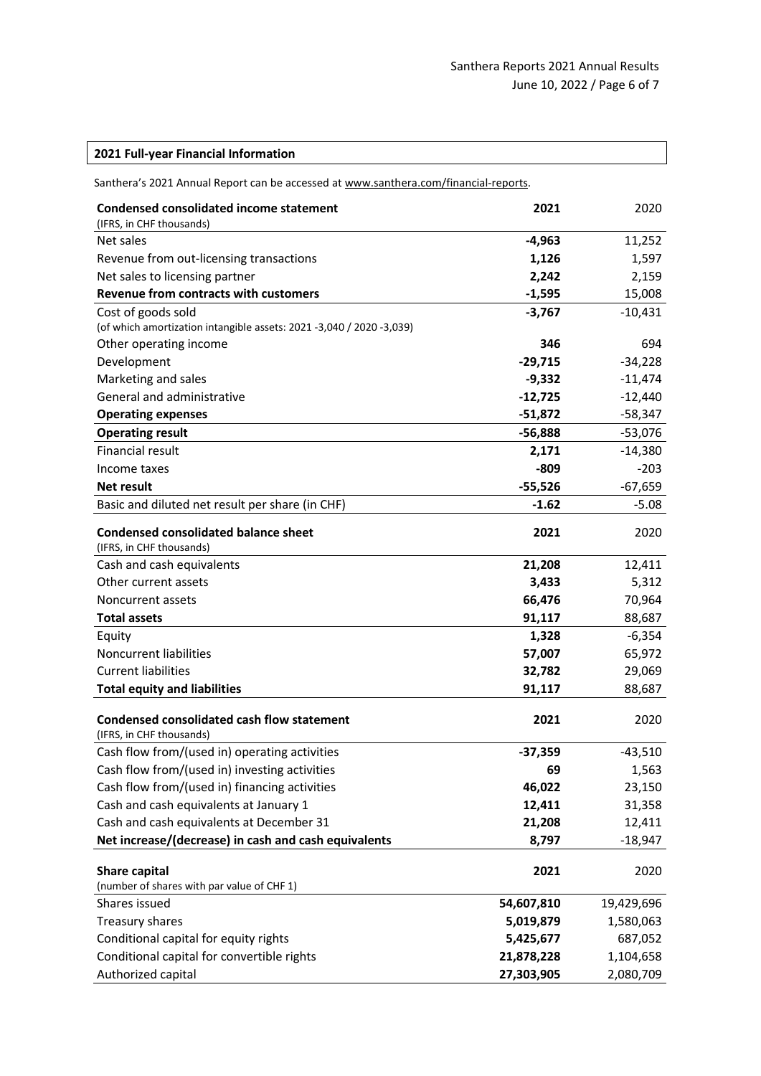| 2021 Full-year Financial Information |  |  |
|--------------------------------------|--|--|
|--------------------------------------|--|--|

| Santhera's 2021 Annual Report can be accessed at www.santhera.com/financial-reports. |  |
|--------------------------------------------------------------------------------------|--|
|--------------------------------------------------------------------------------------|--|

| <b>Condensed consolidated income statement</b><br>(IFRS, in CHF thousands) | 2021       | 2020       |
|----------------------------------------------------------------------------|------------|------------|
| Net sales                                                                  | $-4,963$   | 11,252     |
| Revenue from out-licensing transactions                                    | 1,126      | 1,597      |
| Net sales to licensing partner                                             | 2,242      | 2,159      |
| <b>Revenue from contracts with customers</b>                               | $-1,595$   | 15,008     |
| Cost of goods sold                                                         | $-3,767$   | $-10,431$  |
| (of which amortization intangible assets: 2021 -3,040 / 2020 -3,039)       |            |            |
| Other operating income                                                     | 346        | 694        |
| Development                                                                | $-29,715$  | $-34,228$  |
| Marketing and sales                                                        | $-9,332$   | $-11,474$  |
| General and administrative                                                 | $-12,725$  | $-12,440$  |
| <b>Operating expenses</b>                                                  | $-51,872$  | $-58,347$  |
| <b>Operating result</b>                                                    | $-56,888$  | $-53,076$  |
| <b>Financial result</b>                                                    | 2,171      | $-14,380$  |
| Income taxes                                                               | $-809$     | $-203$     |
| <b>Net result</b>                                                          | $-55,526$  | $-67,659$  |
| Basic and diluted net result per share (in CHF)                            | $-1.62$    | $-5.08$    |
| <b>Condensed consolidated balance sheet</b>                                | 2021       | 2020       |
| (IFRS, in CHF thousands)                                                   |            |            |
| Cash and cash equivalents                                                  | 21,208     | 12,411     |
| Other current assets                                                       | 3,433      | 5,312      |
| Noncurrent assets                                                          | 66,476     | 70,964     |
| <b>Total assets</b>                                                        | 91,117     | 88,687     |
| Equity                                                                     | 1,328      | $-6,354$   |
| Noncurrent liabilities                                                     | 57,007     | 65,972     |
| <b>Current liabilities</b>                                                 | 32,782     | 29,069     |
| <b>Total equity and liabilities</b>                                        | 91,117     | 88,687     |
|                                                                            |            |            |
| <b>Condensed consolidated cash flow statement</b>                          | 2021       | 2020       |
| (IFRS, in CHF thousands)                                                   |            |            |
| Cash flow from/(used in) operating activities                              | $-37,359$  | $-43,510$  |
| Cash flow from/(used in) investing activities                              | 69         | 1,563      |
| Cash flow from/(used in) financing activities                              | 46,022     | 23,150     |
| Cash and cash equivalents at January 1                                     | 12,411     | 31,358     |
| Cash and cash equivalents at December 31                                   | 21,208     | 12,411     |
| Net increase/(decrease) in cash and cash equivalents                       | 8,797      | $-18,947$  |
| Share capital                                                              | 2021       | 2020       |
| (number of shares with par value of CHF 1)                                 |            |            |
| Shares issued                                                              | 54,607,810 | 19,429,696 |
| Treasury shares                                                            | 5,019,879  | 1,580,063  |
| Conditional capital for equity rights                                      | 5,425,677  | 687,052    |
| Conditional capital for convertible rights                                 | 21,878,228 | 1,104,658  |
| Authorized capital                                                         | 27,303,905 | 2,080,709  |